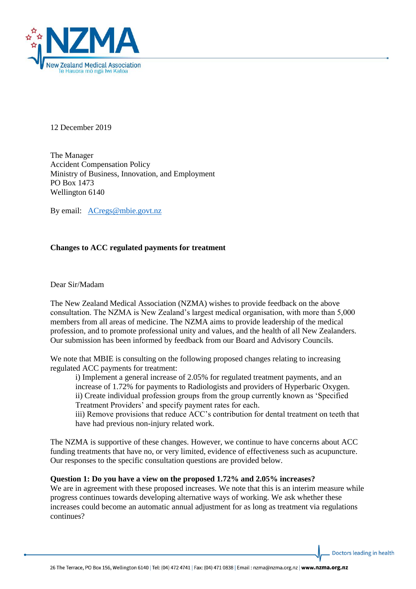

12 December 2019

The Manager Accident Compensation Policy Ministry of Business, Innovation, and Employment PO Box 1473 Wellington 6140

By email: [ACregs@mbie.govt.nz](mailto:ACregs@mbie.govt.nz)

# **Changes to ACC regulated payments for treatment**

Dear Sir/Madam

The New Zealand Medical Association (NZMA) wishes to provide feedback on the above consultation. The NZMA is New Zealand's largest medical organisation, with more than 5,000 members from all areas of medicine. The NZMA aims to provide leadership of the medical profession, and to promote professional unity and values, and the health of all New Zealanders. Our submission has been informed by feedback from our Board and Advisory Councils.

We note that MBIE is consulting on the following proposed changes relating to increasing regulated ACC payments for treatment:

i) Implement a general increase of 2.05% for regulated treatment payments, and an increase of 1.72% for payments to Radiologists and providers of Hyperbaric Oxygen. ii) Create individual profession groups from the group currently known as 'Specified Treatment Providers' and specify payment rates for each.

iii) Remove provisions that reduce ACC's contribution for dental treatment on teeth that have had previous non-injury related work.

The NZMA is supportive of these changes. However, we continue to have concerns about ACC funding treatments that have no, or very limited, evidence of effectiveness such as acupuncture. Our responses to the specific consultation questions are provided below.

#### **Question 1: Do you have a view on the proposed 1.72% and 2.05% increases?**

We are in agreement with these proposed increases. We note that this is an interim measure while progress continues towards developing alternative ways of working. We ask whether these increases could become an automatic annual adjustment for as long as treatment via regulations continues?

Doctors leading in health